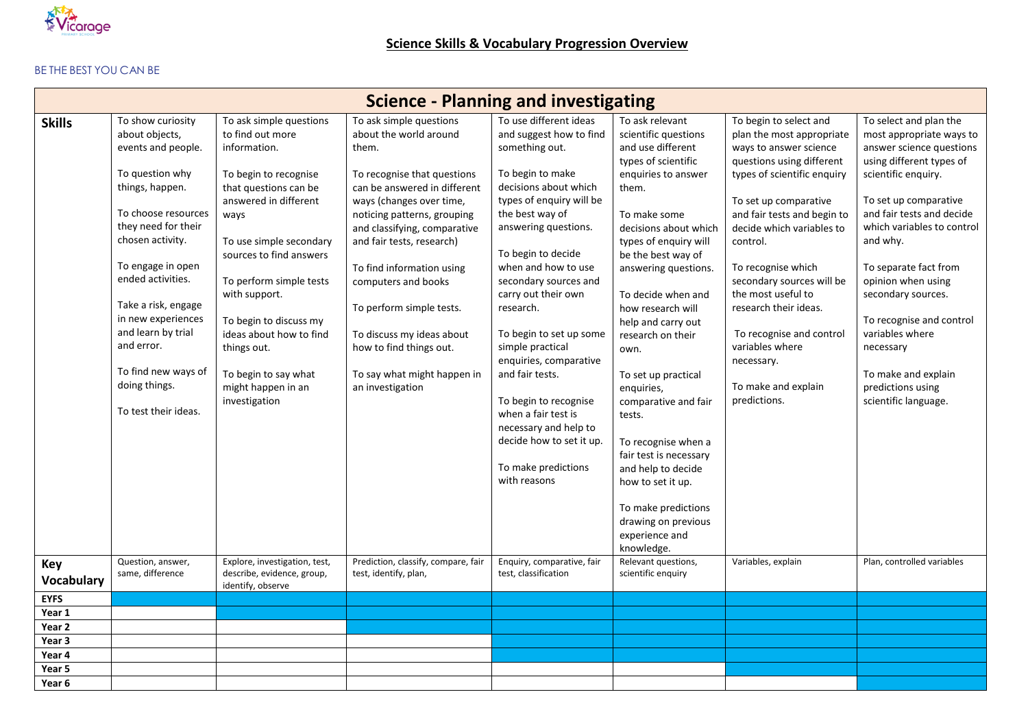

## BE THE BEST YOU CAN BE

| <b>Science - Planning and investigating</b> |                                                                                                                                                                                                                                                                                                                                                              |                                                                                                                                                                                                                                                                                                                                                                                     |                                                                                                                                                                                                                                                                                                                                                                                                                                              |                                                                                                                                                                                                                                                                                                                                                                                                                                                                                                                                           |                                                                                                                                                                                                                                                                                                                                                                                                                                                                                                                                                                      |                                                                                                                                                                                                                                                                                                                                                                                                                                                  |                                                                                                                                                                                                                                                                                                                                                                                                                                        |  |
|---------------------------------------------|--------------------------------------------------------------------------------------------------------------------------------------------------------------------------------------------------------------------------------------------------------------------------------------------------------------------------------------------------------------|-------------------------------------------------------------------------------------------------------------------------------------------------------------------------------------------------------------------------------------------------------------------------------------------------------------------------------------------------------------------------------------|----------------------------------------------------------------------------------------------------------------------------------------------------------------------------------------------------------------------------------------------------------------------------------------------------------------------------------------------------------------------------------------------------------------------------------------------|-------------------------------------------------------------------------------------------------------------------------------------------------------------------------------------------------------------------------------------------------------------------------------------------------------------------------------------------------------------------------------------------------------------------------------------------------------------------------------------------------------------------------------------------|----------------------------------------------------------------------------------------------------------------------------------------------------------------------------------------------------------------------------------------------------------------------------------------------------------------------------------------------------------------------------------------------------------------------------------------------------------------------------------------------------------------------------------------------------------------------|--------------------------------------------------------------------------------------------------------------------------------------------------------------------------------------------------------------------------------------------------------------------------------------------------------------------------------------------------------------------------------------------------------------------------------------------------|----------------------------------------------------------------------------------------------------------------------------------------------------------------------------------------------------------------------------------------------------------------------------------------------------------------------------------------------------------------------------------------------------------------------------------------|--|
| <b>Skills</b>                               | To show curiosity<br>about objects,<br>events and people.<br>To question why<br>things, happen.<br>To choose resources<br>they need for their<br>chosen activity.<br>To engage in open<br>ended activities.<br>Take a risk, engage<br>in new experiences<br>and learn by trial<br>and error.<br>To find new ways of<br>doing things.<br>To test their ideas. | To ask simple questions<br>to find out more<br>information.<br>To begin to recognise<br>that questions can be<br>answered in different<br>ways<br>To use simple secondary<br>sources to find answers<br>To perform simple tests<br>with support.<br>To begin to discuss my<br>ideas about how to find<br>things out.<br>To begin to say what<br>might happen in an<br>investigation | To ask simple questions<br>about the world around<br>them.<br>To recognise that questions<br>can be answered in different<br>ways (changes over time,<br>noticing patterns, grouping<br>and classifying, comparative<br>and fair tests, research)<br>To find information using<br>computers and books<br>To perform simple tests.<br>To discuss my ideas about<br>how to find things out.<br>To say what might happen in<br>an investigation | To use different ideas<br>and suggest how to find<br>something out.<br>To begin to make<br>decisions about which<br>types of enquiry will be<br>the best way of<br>answering questions.<br>To begin to decide<br>when and how to use<br>secondary sources and<br>carry out their own<br>research.<br>To begin to set up some<br>simple practical<br>enquiries, comparative<br>and fair tests.<br>To begin to recognise<br>when a fair test is<br>necessary and help to<br>decide how to set it up.<br>To make predictions<br>with reasons | To ask relevant<br>scientific questions<br>and use different<br>types of scientific<br>enquiries to answer<br>them.<br>To make some<br>decisions about which<br>types of enguiry will<br>be the best way of<br>answering questions.<br>To decide when and<br>how research will<br>help and carry out<br>research on their<br>own.<br>To set up practical<br>enquiries,<br>comparative and fair<br>tests.<br>To recognise when a<br>fair test is necessary<br>and help to decide<br>how to set it up.<br>To make predictions<br>drawing on previous<br>experience and | To begin to select and<br>plan the most appropriate<br>ways to answer science<br>questions using different<br>types of scientific enquiry<br>To set up comparative<br>and fair tests and begin to<br>decide which variables to<br>control.<br>To recognise which<br>secondary sources will be<br>the most useful to<br>research their ideas.<br>To recognise and control<br>variables where<br>necessary.<br>To make and explain<br>predictions. | To select and plan the<br>most appropriate ways to<br>answer science questions<br>using different types of<br>scientific enquiry.<br>To set up comparative<br>and fair tests and decide<br>which variables to control<br>and why.<br>To separate fact from<br>opinion when using<br>secondary sources.<br>To recognise and control<br>variables where<br>necessary<br>To make and explain<br>predictions using<br>scientific language. |  |
| Key<br><b>Vocabulary</b>                    | Question, answer,<br>same, difference                                                                                                                                                                                                                                                                                                                        | Explore, investigation, test,<br>describe, evidence, group,<br>identify, observe                                                                                                                                                                                                                                                                                                    | Prediction, classify, compare, fair<br>test, identify, plan,                                                                                                                                                                                                                                                                                                                                                                                 | Enquiry, comparative, fair<br>test, classification                                                                                                                                                                                                                                                                                                                                                                                                                                                                                        | knowledge.<br>Relevant questions,<br>scientific enquiry                                                                                                                                                                                                                                                                                                                                                                                                                                                                                                              | Variables, explain                                                                                                                                                                                                                                                                                                                                                                                                                               | Plan, controlled variables                                                                                                                                                                                                                                                                                                                                                                                                             |  |
| <b>EYFS</b>                                 |                                                                                                                                                                                                                                                                                                                                                              |                                                                                                                                                                                                                                                                                                                                                                                     |                                                                                                                                                                                                                                                                                                                                                                                                                                              |                                                                                                                                                                                                                                                                                                                                                                                                                                                                                                                                           |                                                                                                                                                                                                                                                                                                                                                                                                                                                                                                                                                                      |                                                                                                                                                                                                                                                                                                                                                                                                                                                  |                                                                                                                                                                                                                                                                                                                                                                                                                                        |  |
| Year 1                                      |                                                                                                                                                                                                                                                                                                                                                              |                                                                                                                                                                                                                                                                                                                                                                                     |                                                                                                                                                                                                                                                                                                                                                                                                                                              |                                                                                                                                                                                                                                                                                                                                                                                                                                                                                                                                           |                                                                                                                                                                                                                                                                                                                                                                                                                                                                                                                                                                      |                                                                                                                                                                                                                                                                                                                                                                                                                                                  |                                                                                                                                                                                                                                                                                                                                                                                                                                        |  |
| Year 2<br>Year 3                            |                                                                                                                                                                                                                                                                                                                                                              |                                                                                                                                                                                                                                                                                                                                                                                     |                                                                                                                                                                                                                                                                                                                                                                                                                                              |                                                                                                                                                                                                                                                                                                                                                                                                                                                                                                                                           |                                                                                                                                                                                                                                                                                                                                                                                                                                                                                                                                                                      |                                                                                                                                                                                                                                                                                                                                                                                                                                                  |                                                                                                                                                                                                                                                                                                                                                                                                                                        |  |
| Year 4                                      |                                                                                                                                                                                                                                                                                                                                                              |                                                                                                                                                                                                                                                                                                                                                                                     |                                                                                                                                                                                                                                                                                                                                                                                                                                              |                                                                                                                                                                                                                                                                                                                                                                                                                                                                                                                                           |                                                                                                                                                                                                                                                                                                                                                                                                                                                                                                                                                                      |                                                                                                                                                                                                                                                                                                                                                                                                                                                  |                                                                                                                                                                                                                                                                                                                                                                                                                                        |  |
| Year 5                                      |                                                                                                                                                                                                                                                                                                                                                              |                                                                                                                                                                                                                                                                                                                                                                                     |                                                                                                                                                                                                                                                                                                                                                                                                                                              |                                                                                                                                                                                                                                                                                                                                                                                                                                                                                                                                           |                                                                                                                                                                                                                                                                                                                                                                                                                                                                                                                                                                      |                                                                                                                                                                                                                                                                                                                                                                                                                                                  |                                                                                                                                                                                                                                                                                                                                                                                                                                        |  |
|                                             |                                                                                                                                                                                                                                                                                                                                                              |                                                                                                                                                                                                                                                                                                                                                                                     |                                                                                                                                                                                                                                                                                                                                                                                                                                              |                                                                                                                                                                                                                                                                                                                                                                                                                                                                                                                                           |                                                                                                                                                                                                                                                                                                                                                                                                                                                                                                                                                                      |                                                                                                                                                                                                                                                                                                                                                                                                                                                  |                                                                                                                                                                                                                                                                                                                                                                                                                                        |  |
| Year 6                                      |                                                                                                                                                                                                                                                                                                                                                              |                                                                                                                                                                                                                                                                                                                                                                                     |                                                                                                                                                                                                                                                                                                                                                                                                                                              |                                                                                                                                                                                                                                                                                                                                                                                                                                                                                                                                           |                                                                                                                                                                                                                                                                                                                                                                                                                                                                                                                                                                      |                                                                                                                                                                                                                                                                                                                                                                                                                                                  |                                                                                                                                                                                                                                                                                                                                                                                                                                        |  |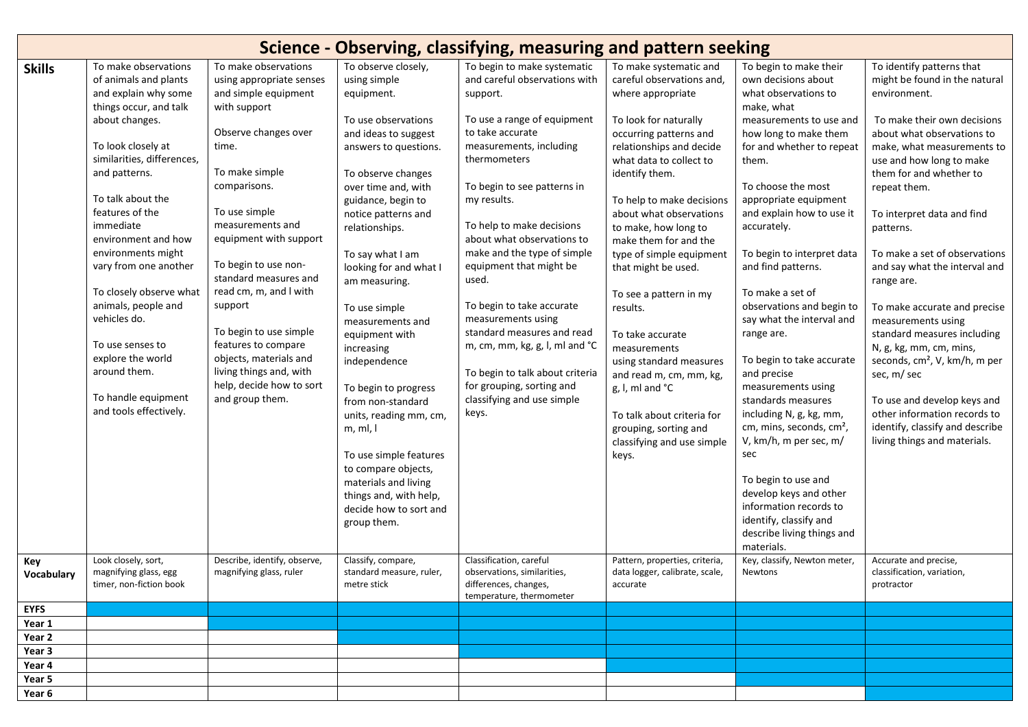| Science - Observing, classifying, measuring and pattern seeking |                                                                                                                                                                                                                                                                                                                                                                                                                                                                                               |                                                                                                                                                                                                                                                                                                                                                                                                                                                                       |                                                                                                                                                                                                                                                                                                                                                                                                                                                                                                                                                                                                                        |                                                                                                                                                                                                                                                                                                                                                                                                                                                                                                                                                                              |                                                                                                                                                                                                                                                                                                                                                                                                                                                                                                                                                                                                                   |                                                                                                                                                                                                                                                                                                                                                                                                                                                                                                                                                                                                                                                                                                                                                                       |                                                                                                                                                                                                                                                                                                                                                                                                                                                                                                                                                                                                                                                                                       |  |
|-----------------------------------------------------------------|-----------------------------------------------------------------------------------------------------------------------------------------------------------------------------------------------------------------------------------------------------------------------------------------------------------------------------------------------------------------------------------------------------------------------------------------------------------------------------------------------|-----------------------------------------------------------------------------------------------------------------------------------------------------------------------------------------------------------------------------------------------------------------------------------------------------------------------------------------------------------------------------------------------------------------------------------------------------------------------|------------------------------------------------------------------------------------------------------------------------------------------------------------------------------------------------------------------------------------------------------------------------------------------------------------------------------------------------------------------------------------------------------------------------------------------------------------------------------------------------------------------------------------------------------------------------------------------------------------------------|------------------------------------------------------------------------------------------------------------------------------------------------------------------------------------------------------------------------------------------------------------------------------------------------------------------------------------------------------------------------------------------------------------------------------------------------------------------------------------------------------------------------------------------------------------------------------|-------------------------------------------------------------------------------------------------------------------------------------------------------------------------------------------------------------------------------------------------------------------------------------------------------------------------------------------------------------------------------------------------------------------------------------------------------------------------------------------------------------------------------------------------------------------------------------------------------------------|-----------------------------------------------------------------------------------------------------------------------------------------------------------------------------------------------------------------------------------------------------------------------------------------------------------------------------------------------------------------------------------------------------------------------------------------------------------------------------------------------------------------------------------------------------------------------------------------------------------------------------------------------------------------------------------------------------------------------------------------------------------------------|---------------------------------------------------------------------------------------------------------------------------------------------------------------------------------------------------------------------------------------------------------------------------------------------------------------------------------------------------------------------------------------------------------------------------------------------------------------------------------------------------------------------------------------------------------------------------------------------------------------------------------------------------------------------------------------|--|
| <b>Skills</b>                                                   | To make observations<br>of animals and plants<br>and explain why some<br>things occur, and talk<br>about changes.<br>To look closely at<br>similarities, differences,<br>and patterns.<br>To talk about the<br>features of the<br>immediate<br>environment and how<br>environments might<br>vary from one another<br>To closely observe what<br>animals, people and<br>vehicles do.<br>To use senses to<br>explore the world<br>around them.<br>To handle equipment<br>and tools effectively. | To make observations<br>using appropriate senses<br>and simple equipment<br>with support<br>Observe changes over<br>time.<br>To make simple<br>comparisons.<br>To use simple<br>measurements and<br>equipment with support<br>To begin to use non-<br>standard measures and<br>read cm, m, and I with<br>support<br>To begin to use simple<br>features to compare<br>objects, materials and<br>living things and, with<br>help, decide how to sort<br>and group them. | To observe closely,<br>using simple<br>equipment.<br>To use observations<br>and ideas to suggest<br>answers to questions.<br>To observe changes<br>over time and, with<br>guidance, begin to<br>notice patterns and<br>relationships.<br>To say what I am<br>looking for and what I<br>am measuring.<br>To use simple<br>measurements and<br>equipment with<br>increasing<br>independence<br>To begin to progress<br>from non-standard<br>units, reading mm, cm,<br>m, ml,<br>To use simple features<br>to compare objects,<br>materials and living<br>things and, with help,<br>decide how to sort and<br>group them. | To begin to make systematic<br>and careful observations with<br>support.<br>To use a range of equipment<br>to take accurate<br>measurements, including<br>thermometers<br>To begin to see patterns in<br>my results.<br>To help to make decisions<br>about what observations to<br>make and the type of simple<br>equipment that might be<br>used.<br>To begin to take accurate<br>measurements using<br>standard measures and read<br>m, cm, mm, kg, g, l, ml and °C<br>To begin to talk about criteria<br>for grouping, sorting and<br>classifying and use simple<br>keys. | To make systematic and<br>careful observations and,<br>where appropriate<br>To look for naturally<br>occurring patterns and<br>relationships and decide<br>what data to collect to<br>identify them.<br>To help to make decisions<br>about what observations<br>to make, how long to<br>make them for and the<br>type of simple equipment<br>that might be used.<br>To see a pattern in my<br>results.<br>To take accurate<br>measurements<br>using standard measures<br>and read m, cm, mm, kg,<br>g, I, mI and °C<br>To talk about criteria for<br>grouping, sorting and<br>classifying and use simple<br>keys. | To begin to make their<br>own decisions about<br>what observations to<br>make, what<br>measurements to use and<br>how long to make them<br>for and whether to repeat<br>them.<br>To choose the most<br>appropriate equipment<br>and explain how to use it<br>accurately.<br>To begin to interpret data<br>and find patterns.<br>To make a set of<br>observations and begin to<br>say what the interval and<br>range are.<br>To begin to take accurate<br>and precise<br>measurements using<br>standards measures<br>including N, g, kg, mm,<br>cm, mins, seconds, cm <sup>2</sup> ,<br>V, km/h, m per sec, m/<br>sec<br>To begin to use and<br>develop keys and other<br>information records to<br>identify, classify and<br>describe living things and<br>materials. | To identify patterns that<br>might be found in the natural<br>environment.<br>To make their own decisions<br>about what observations to<br>make, what measurements to<br>use and how long to make<br>them for and whether to<br>repeat them.<br>To interpret data and find<br>patterns.<br>To make a set of observations<br>and say what the interval and<br>range are.<br>To make accurate and precise<br>measurements using<br>standard measures including<br>N, g, kg, mm, cm, mins,<br>seconds, cm <sup>2</sup> , V, km/h, m per<br>sec, m/ sec<br>To use and develop keys and<br>other information records to<br>identify, classify and describe<br>living things and materials. |  |
| Key<br>Vocabulary                                               | Look closely, sort,<br>magnifying glass, egg<br>timer, non-fiction book                                                                                                                                                                                                                                                                                                                                                                                                                       | Describe, identify, observe,<br>magnifying glass, ruler                                                                                                                                                                                                                                                                                                                                                                                                               | Classify, compare,<br>standard measure, ruler,<br>metre stick                                                                                                                                                                                                                                                                                                                                                                                                                                                                                                                                                          | Classification, careful<br>observations, similarities,<br>differences, changes,<br>temperature, thermometer                                                                                                                                                                                                                                                                                                                                                                                                                                                                  | Pattern, properties, criteria,<br>data logger, calibrate, scale,<br>accurate                                                                                                                                                                                                                                                                                                                                                                                                                                                                                                                                      | Key, classify, Newton meter,<br>Newtons                                                                                                                                                                                                                                                                                                                                                                                                                                                                                                                                                                                                                                                                                                                               | Accurate and precise,<br>classification, variation,<br>protractor                                                                                                                                                                                                                                                                                                                                                                                                                                                                                                                                                                                                                     |  |
| <b>EYFS</b>                                                     |                                                                                                                                                                                                                                                                                                                                                                                                                                                                                               |                                                                                                                                                                                                                                                                                                                                                                                                                                                                       |                                                                                                                                                                                                                                                                                                                                                                                                                                                                                                                                                                                                                        |                                                                                                                                                                                                                                                                                                                                                                                                                                                                                                                                                                              |                                                                                                                                                                                                                                                                                                                                                                                                                                                                                                                                                                                                                   |                                                                                                                                                                                                                                                                                                                                                                                                                                                                                                                                                                                                                                                                                                                                                                       |                                                                                                                                                                                                                                                                                                                                                                                                                                                                                                                                                                                                                                                                                       |  |
| Year 1                                                          |                                                                                                                                                                                                                                                                                                                                                                                                                                                                                               |                                                                                                                                                                                                                                                                                                                                                                                                                                                                       |                                                                                                                                                                                                                                                                                                                                                                                                                                                                                                                                                                                                                        |                                                                                                                                                                                                                                                                                                                                                                                                                                                                                                                                                                              |                                                                                                                                                                                                                                                                                                                                                                                                                                                                                                                                                                                                                   |                                                                                                                                                                                                                                                                                                                                                                                                                                                                                                                                                                                                                                                                                                                                                                       |                                                                                                                                                                                                                                                                                                                                                                                                                                                                                                                                                                                                                                                                                       |  |
| Year 2                                                          |                                                                                                                                                                                                                                                                                                                                                                                                                                                                                               |                                                                                                                                                                                                                                                                                                                                                                                                                                                                       |                                                                                                                                                                                                                                                                                                                                                                                                                                                                                                                                                                                                                        |                                                                                                                                                                                                                                                                                                                                                                                                                                                                                                                                                                              |                                                                                                                                                                                                                                                                                                                                                                                                                                                                                                                                                                                                                   |                                                                                                                                                                                                                                                                                                                                                                                                                                                                                                                                                                                                                                                                                                                                                                       |                                                                                                                                                                                                                                                                                                                                                                                                                                                                                                                                                                                                                                                                                       |  |
| Year 3                                                          |                                                                                                                                                                                                                                                                                                                                                                                                                                                                                               |                                                                                                                                                                                                                                                                                                                                                                                                                                                                       |                                                                                                                                                                                                                                                                                                                                                                                                                                                                                                                                                                                                                        |                                                                                                                                                                                                                                                                                                                                                                                                                                                                                                                                                                              |                                                                                                                                                                                                                                                                                                                                                                                                                                                                                                                                                                                                                   |                                                                                                                                                                                                                                                                                                                                                                                                                                                                                                                                                                                                                                                                                                                                                                       |                                                                                                                                                                                                                                                                                                                                                                                                                                                                                                                                                                                                                                                                                       |  |
| Year 4                                                          |                                                                                                                                                                                                                                                                                                                                                                                                                                                                                               |                                                                                                                                                                                                                                                                                                                                                                                                                                                                       |                                                                                                                                                                                                                                                                                                                                                                                                                                                                                                                                                                                                                        |                                                                                                                                                                                                                                                                                                                                                                                                                                                                                                                                                                              |                                                                                                                                                                                                                                                                                                                                                                                                                                                                                                                                                                                                                   |                                                                                                                                                                                                                                                                                                                                                                                                                                                                                                                                                                                                                                                                                                                                                                       |                                                                                                                                                                                                                                                                                                                                                                                                                                                                                                                                                                                                                                                                                       |  |
|                                                                 |                                                                                                                                                                                                                                                                                                                                                                                                                                                                                               |                                                                                                                                                                                                                                                                                                                                                                                                                                                                       |                                                                                                                                                                                                                                                                                                                                                                                                                                                                                                                                                                                                                        |                                                                                                                                                                                                                                                                                                                                                                                                                                                                                                                                                                              |                                                                                                                                                                                                                                                                                                                                                                                                                                                                                                                                                                                                                   |                                                                                                                                                                                                                                                                                                                                                                                                                                                                                                                                                                                                                                                                                                                                                                       |                                                                                                                                                                                                                                                                                                                                                                                                                                                                                                                                                                                                                                                                                       |  |
| Year 5                                                          |                                                                                                                                                                                                                                                                                                                                                                                                                                                                                               |                                                                                                                                                                                                                                                                                                                                                                                                                                                                       |                                                                                                                                                                                                                                                                                                                                                                                                                                                                                                                                                                                                                        |                                                                                                                                                                                                                                                                                                                                                                                                                                                                                                                                                                              |                                                                                                                                                                                                                                                                                                                                                                                                                                                                                                                                                                                                                   |                                                                                                                                                                                                                                                                                                                                                                                                                                                                                                                                                                                                                                                                                                                                                                       |                                                                                                                                                                                                                                                                                                                                                                                                                                                                                                                                                                                                                                                                                       |  |
| Year 6                                                          |                                                                                                                                                                                                                                                                                                                                                                                                                                                                                               |                                                                                                                                                                                                                                                                                                                                                                                                                                                                       |                                                                                                                                                                                                                                                                                                                                                                                                                                                                                                                                                                                                                        |                                                                                                                                                                                                                                                                                                                                                                                                                                                                                                                                                                              |                                                                                                                                                                                                                                                                                                                                                                                                                                                                                                                                                                                                                   |                                                                                                                                                                                                                                                                                                                                                                                                                                                                                                                                                                                                                                                                                                                                                                       |                                                                                                                                                                                                                                                                                                                                                                                                                                                                                                                                                                                                                                                                                       |  |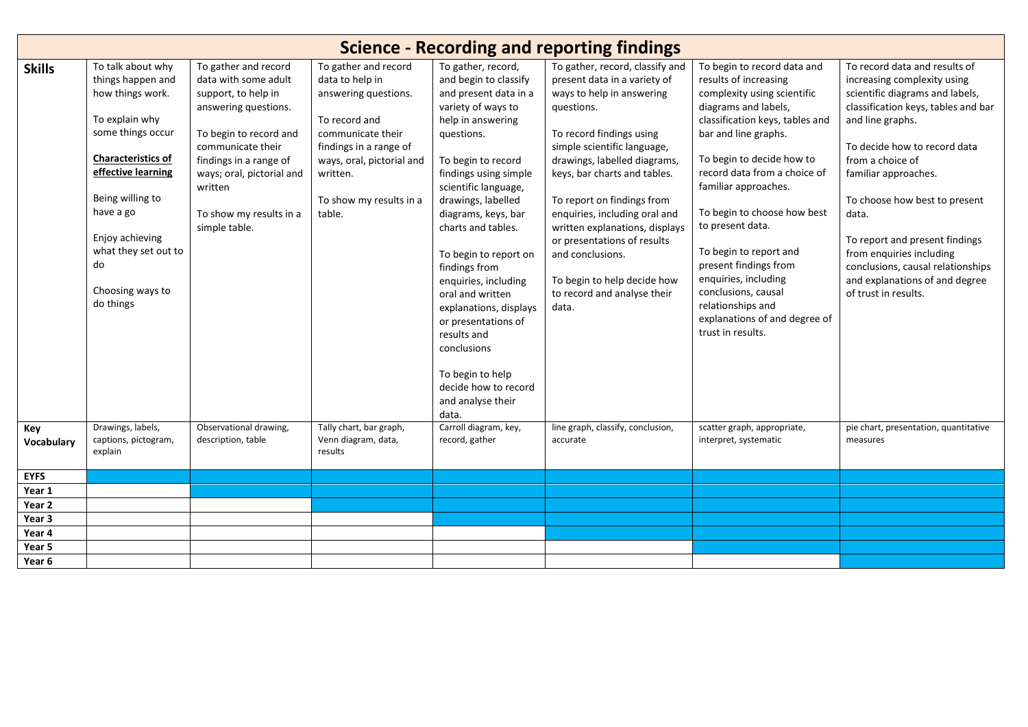| <b>Science - Recording and reporting findings</b> |                                                                                                                                                                                                                                                                         |                                                                                                                                                                                                                                                          |                                                                                                                                                                                                               |                                                                                                                                                                                                                                                                                                                                                                                                                                                                                                                        |                                                                                                                                                                                                                                                                                                                                                                                                                                                                  |                                                                                                                                                                                                                                                                                                                                                                                                                                                                                             |                                                                                                                                                                                                                                                                                                                                                                                                                                               |  |  |
|---------------------------------------------------|-------------------------------------------------------------------------------------------------------------------------------------------------------------------------------------------------------------------------------------------------------------------------|----------------------------------------------------------------------------------------------------------------------------------------------------------------------------------------------------------------------------------------------------------|---------------------------------------------------------------------------------------------------------------------------------------------------------------------------------------------------------------|------------------------------------------------------------------------------------------------------------------------------------------------------------------------------------------------------------------------------------------------------------------------------------------------------------------------------------------------------------------------------------------------------------------------------------------------------------------------------------------------------------------------|------------------------------------------------------------------------------------------------------------------------------------------------------------------------------------------------------------------------------------------------------------------------------------------------------------------------------------------------------------------------------------------------------------------------------------------------------------------|---------------------------------------------------------------------------------------------------------------------------------------------------------------------------------------------------------------------------------------------------------------------------------------------------------------------------------------------------------------------------------------------------------------------------------------------------------------------------------------------|-----------------------------------------------------------------------------------------------------------------------------------------------------------------------------------------------------------------------------------------------------------------------------------------------------------------------------------------------------------------------------------------------------------------------------------------------|--|--|
| <b>Skills</b>                                     | To talk about why<br>things happen and<br>how things work.<br>To explain why<br>some things occur<br><b>Characteristics of</b><br>effective learning<br>Being willing to<br>have a go<br>Enjoy achieving<br>what they set out to<br>do<br>Choosing ways to<br>do things | To gather and record<br>data with some adult<br>support, to help in<br>answering questions.<br>To begin to record and<br>communicate their<br>findings in a range of<br>ways; oral, pictorial and<br>written<br>To show my results in a<br>simple table. | To gather and record<br>data to help in<br>answering questions.<br>To record and<br>communicate their<br>findings in a range of<br>ways, oral, pictorial and<br>written.<br>To show my results in a<br>table. | To gather, record,<br>and begin to classify<br>and present data in a<br>variety of ways to<br>help in answering<br>questions.<br>To begin to record<br>findings using simple<br>scientific language,<br>drawings, labelled<br>diagrams, keys, bar<br>charts and tables.<br>To begin to report on<br>findings from<br>enquiries, including<br>oral and written<br>explanations, displays<br>or presentations of<br>results and<br>conclusions<br>To begin to help<br>decide how to record<br>and analyse their<br>data. | To gather, record, classify and<br>present data in a variety of<br>ways to help in answering<br>questions.<br>To record findings using<br>simple scientific language,<br>drawings, labelled diagrams,<br>keys, bar charts and tables.<br>To report on findings from<br>enquiries, including oral and<br>written explanations, displays<br>or presentations of results<br>and conclusions.<br>To begin to help decide how<br>to record and analyse their<br>data. | To begin to record data and<br>results of increasing<br>complexity using scientific<br>diagrams and labels,<br>classification keys, tables and<br>bar and line graphs.<br>To begin to decide how to<br>record data from a choice of<br>familiar approaches.<br>To begin to choose how best<br>to present data.<br>To begin to report and<br>present findings from<br>enquiries, including<br>conclusions, causal<br>relationships and<br>explanations of and degree of<br>trust in results. | To record data and results of<br>increasing complexity using<br>scientific diagrams and labels,<br>classification keys, tables and bar<br>and line graphs.<br>To decide how to record data<br>from a choice of<br>familiar approaches.<br>To choose how best to present<br>data.<br>To report and present findings<br>from enquiries including<br>conclusions, causal relationships<br>and explanations of and degree<br>of trust in results. |  |  |
| Key<br>Vocabulary                                 | Drawings, labels,<br>captions, pictogram,<br>explain                                                                                                                                                                                                                    | Observational drawing,<br>description, table                                                                                                                                                                                                             | Tally chart, bar graph,<br>Venn diagram, data,<br>results                                                                                                                                                     | Carroll diagram, key,<br>record, gather                                                                                                                                                                                                                                                                                                                                                                                                                                                                                | line graph, classify, conclusion,<br>accurate                                                                                                                                                                                                                                                                                                                                                                                                                    | scatter graph, appropriate,<br>interpret, systematic                                                                                                                                                                                                                                                                                                                                                                                                                                        | pie chart, presentation, quantitative<br>measures                                                                                                                                                                                                                                                                                                                                                                                             |  |  |
| <b>EYFS</b>                                       |                                                                                                                                                                                                                                                                         |                                                                                                                                                                                                                                                          |                                                                                                                                                                                                               |                                                                                                                                                                                                                                                                                                                                                                                                                                                                                                                        |                                                                                                                                                                                                                                                                                                                                                                                                                                                                  |                                                                                                                                                                                                                                                                                                                                                                                                                                                                                             |                                                                                                                                                                                                                                                                                                                                                                                                                                               |  |  |
| Year 1                                            |                                                                                                                                                                                                                                                                         |                                                                                                                                                                                                                                                          |                                                                                                                                                                                                               |                                                                                                                                                                                                                                                                                                                                                                                                                                                                                                                        |                                                                                                                                                                                                                                                                                                                                                                                                                                                                  |                                                                                                                                                                                                                                                                                                                                                                                                                                                                                             |                                                                                                                                                                                                                                                                                                                                                                                                                                               |  |  |
| Year 2                                            |                                                                                                                                                                                                                                                                         |                                                                                                                                                                                                                                                          |                                                                                                                                                                                                               |                                                                                                                                                                                                                                                                                                                                                                                                                                                                                                                        |                                                                                                                                                                                                                                                                                                                                                                                                                                                                  |                                                                                                                                                                                                                                                                                                                                                                                                                                                                                             |                                                                                                                                                                                                                                                                                                                                                                                                                                               |  |  |
| Year 3                                            |                                                                                                                                                                                                                                                                         |                                                                                                                                                                                                                                                          |                                                                                                                                                                                                               |                                                                                                                                                                                                                                                                                                                                                                                                                                                                                                                        |                                                                                                                                                                                                                                                                                                                                                                                                                                                                  |                                                                                                                                                                                                                                                                                                                                                                                                                                                                                             |                                                                                                                                                                                                                                                                                                                                                                                                                                               |  |  |
| Year 4                                            |                                                                                                                                                                                                                                                                         |                                                                                                                                                                                                                                                          |                                                                                                                                                                                                               |                                                                                                                                                                                                                                                                                                                                                                                                                                                                                                                        |                                                                                                                                                                                                                                                                                                                                                                                                                                                                  |                                                                                                                                                                                                                                                                                                                                                                                                                                                                                             |                                                                                                                                                                                                                                                                                                                                                                                                                                               |  |  |
| Year 5                                            |                                                                                                                                                                                                                                                                         |                                                                                                                                                                                                                                                          |                                                                                                                                                                                                               |                                                                                                                                                                                                                                                                                                                                                                                                                                                                                                                        |                                                                                                                                                                                                                                                                                                                                                                                                                                                                  |                                                                                                                                                                                                                                                                                                                                                                                                                                                                                             |                                                                                                                                                                                                                                                                                                                                                                                                                                               |  |  |
| Year 6                                            |                                                                                                                                                                                                                                                                         |                                                                                                                                                                                                                                                          |                                                                                                                                                                                                               |                                                                                                                                                                                                                                                                                                                                                                                                                                                                                                                        |                                                                                                                                                                                                                                                                                                                                                                                                                                                                  |                                                                                                                                                                                                                                                                                                                                                                                                                                                                                             |                                                                                                                                                                                                                                                                                                                                                                                                                                               |  |  |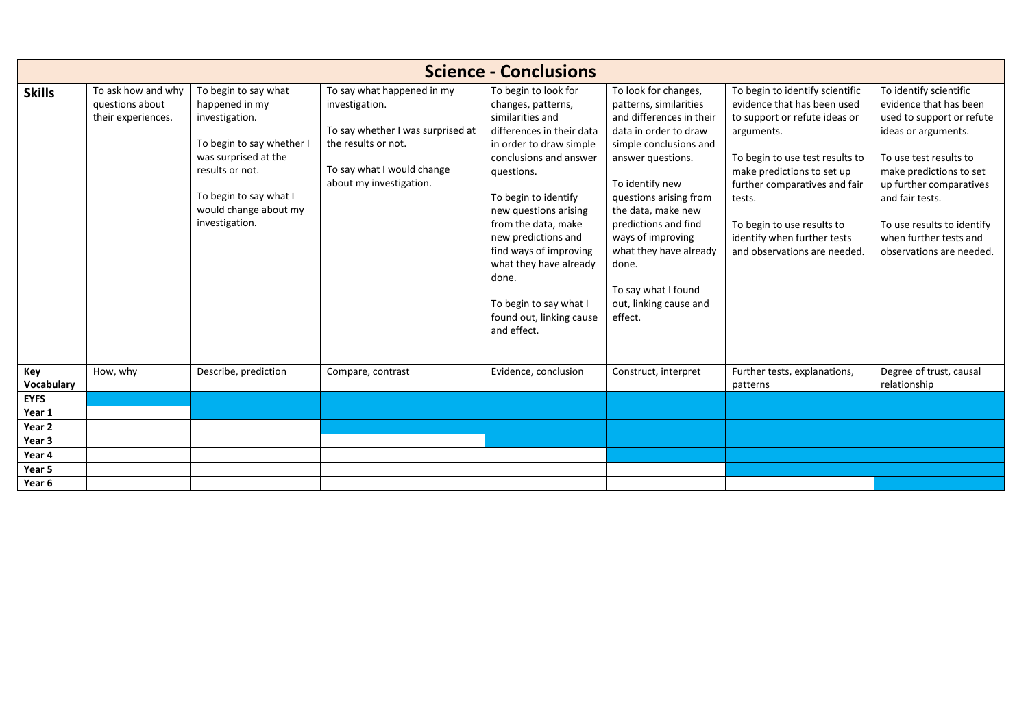| <b>Science - Conclusions</b> |                                                             |                                                                                                                                                                                                       |                                                                                                                                                                   |                                                                                                                                                                                                                                                                                                                                                                                                 |                                                                                                                                                                                                                                                                                                                                                                   |                                                                                                                                                                                                                                                                                                                        |                                                                                                                                                                                                                                                                                             |  |  |
|------------------------------|-------------------------------------------------------------|-------------------------------------------------------------------------------------------------------------------------------------------------------------------------------------------------------|-------------------------------------------------------------------------------------------------------------------------------------------------------------------|-------------------------------------------------------------------------------------------------------------------------------------------------------------------------------------------------------------------------------------------------------------------------------------------------------------------------------------------------------------------------------------------------|-------------------------------------------------------------------------------------------------------------------------------------------------------------------------------------------------------------------------------------------------------------------------------------------------------------------------------------------------------------------|------------------------------------------------------------------------------------------------------------------------------------------------------------------------------------------------------------------------------------------------------------------------------------------------------------------------|---------------------------------------------------------------------------------------------------------------------------------------------------------------------------------------------------------------------------------------------------------------------------------------------|--|--|
| <b>Skills</b>                | To ask how and why<br>questions about<br>their experiences. | To begin to say what<br>happened in my<br>investigation.<br>To begin to say whether I<br>was surprised at the<br>results or not.<br>To begin to say what I<br>would change about my<br>investigation. | To say what happened in my<br>investigation.<br>To say whether I was surprised at<br>the results or not.<br>To say what I would change<br>about my investigation. | To begin to look for<br>changes, patterns,<br>similarities and<br>differences in their data<br>in order to draw simple<br>conclusions and answer<br>questions.<br>To begin to identify<br>new questions arising<br>from the data, make<br>new predictions and<br>find ways of improving<br>what they have already<br>done.<br>To begin to say what I<br>found out, linking cause<br>and effect. | To look for changes,<br>patterns, similarities<br>and differences in their<br>data in order to draw<br>simple conclusions and<br>answer questions.<br>To identify new<br>questions arising from<br>the data, make new<br>predictions and find<br>ways of improving<br>what they have already<br>done.<br>To say what I found<br>out, linking cause and<br>effect. | To begin to identify scientific<br>evidence that has been used<br>to support or refute ideas or<br>arguments.<br>To begin to use test results to<br>make predictions to set up<br>further comparatives and fair<br>tests.<br>To begin to use results to<br>identify when further tests<br>and observations are needed. | To identify scientific<br>evidence that has been<br>used to support or refute<br>ideas or arguments.<br>To use test results to<br>make predictions to set<br>up further comparatives<br>and fair tests.<br>To use results to identify<br>when further tests and<br>observations are needed. |  |  |
| Key<br>Vocabulary            | How, why                                                    | Describe, prediction                                                                                                                                                                                  | Compare, contrast                                                                                                                                                 | Evidence, conclusion                                                                                                                                                                                                                                                                                                                                                                            | Construct, interpret                                                                                                                                                                                                                                                                                                                                              | Further tests, explanations,<br>patterns                                                                                                                                                                                                                                                                               | Degree of trust, causal<br>relationship                                                                                                                                                                                                                                                     |  |  |
| <b>EYFS</b>                  |                                                             |                                                                                                                                                                                                       |                                                                                                                                                                   |                                                                                                                                                                                                                                                                                                                                                                                                 |                                                                                                                                                                                                                                                                                                                                                                   |                                                                                                                                                                                                                                                                                                                        |                                                                                                                                                                                                                                                                                             |  |  |
| Year 1                       |                                                             |                                                                                                                                                                                                       |                                                                                                                                                                   |                                                                                                                                                                                                                                                                                                                                                                                                 |                                                                                                                                                                                                                                                                                                                                                                   |                                                                                                                                                                                                                                                                                                                        |                                                                                                                                                                                                                                                                                             |  |  |
| Year 2<br>Year 3             |                                                             |                                                                                                                                                                                                       |                                                                                                                                                                   |                                                                                                                                                                                                                                                                                                                                                                                                 |                                                                                                                                                                                                                                                                                                                                                                   |                                                                                                                                                                                                                                                                                                                        |                                                                                                                                                                                                                                                                                             |  |  |
| Year 4                       |                                                             |                                                                                                                                                                                                       |                                                                                                                                                                   |                                                                                                                                                                                                                                                                                                                                                                                                 |                                                                                                                                                                                                                                                                                                                                                                   |                                                                                                                                                                                                                                                                                                                        |                                                                                                                                                                                                                                                                                             |  |  |
| Year 5                       |                                                             |                                                                                                                                                                                                       |                                                                                                                                                                   |                                                                                                                                                                                                                                                                                                                                                                                                 |                                                                                                                                                                                                                                                                                                                                                                   |                                                                                                                                                                                                                                                                                                                        |                                                                                                                                                                                                                                                                                             |  |  |
|                              |                                                             |                                                                                                                                                                                                       |                                                                                                                                                                   |                                                                                                                                                                                                                                                                                                                                                                                                 |                                                                                                                                                                                                                                                                                                                                                                   |                                                                                                                                                                                                                                                                                                                        |                                                                                                                                                                                                                                                                                             |  |  |
| Year 6                       |                                                             |                                                                                                                                                                                                       |                                                                                                                                                                   |                                                                                                                                                                                                                                                                                                                                                                                                 |                                                                                                                                                                                                                                                                                                                                                                   |                                                                                                                                                                                                                                                                                                                        |                                                                                                                                                                                                                                                                                             |  |  |